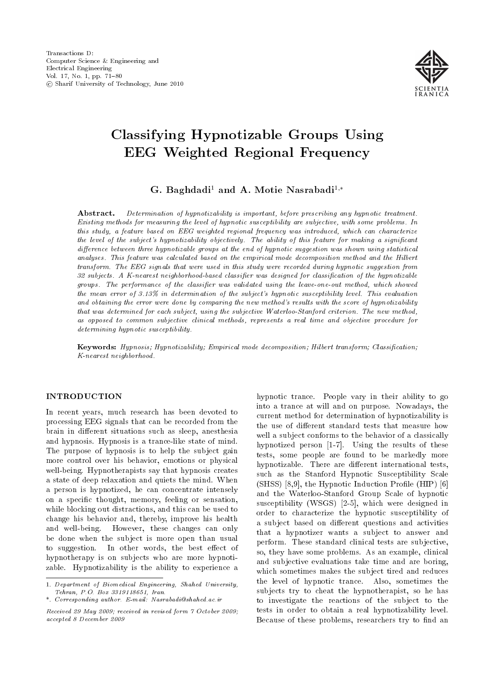

# Classifying Hypnotizable Groups Using EEG Weighted Regional Frequency

G. Baghdadi<sup>1</sup> and A. Motie Nasrabadi<sup>1,\*</sup>

Abstract. Determination of hypnotizability is important, before prescribing any hypnotic treatment. Existing methods for measuring the level of hypnotic susceptibility are subjective, with some problems. In this study, a feature based on EEG weighted regional frequency was introduced, which can characterize the level of the subject's hypnotizability objectively. The ability of this feature for making a significant difference between three hypnotizable groups at the end of hypnotic suggestion was shown using statistical analyses. This feature was calculated based on the empirical mode decomposition method and the Hilbert transform. The EEG signals that were used in this study were recorded during hypnotic suggestion from 32 subjects. A K-nearest neighborhood-based classifier was designed for classification of the hypnotizable groups. The performance of the classifier was validated using the leave-one-out method, which showed the mean error of 3.13% in determination of the subject's hypnotic susceptibility level. This evaluation and obtaining the error were done by comparing the new method's results with the score of hypnotizability that was determined for each subject, using the subjective Waterloo-Stanford criterion. The new method, as opposed to common subjective clinical methods, represents a real time and objective procedure for determining hypnotic susceptibility.

Keywords: Hypnosis; Hypnotizability; Empirical mode decomposition; Hilbert transform; Classification; K-nearest neighborhood.

#### INTRODUCTION

In recent years, much research has been devoted to processing EEG signals that can be recorded from the brain in different situations such as sleep, anesthesia and hypnosis. Hypnosis is a trance-like state of mind. The purpose of hypnosis is to help the subject gain more control over his behavior, emotions or physical well-being. Hypnotherapists say that hypnosis creates a state of deep relaxation and quiets the mind. When a person is hypnotized, he can concentrate intensely on a specic thought, memory, feeling or sensation, while blocking out distractions, and this can be used to change his behavior and, thereby, improve his health and well-being. However, these changes can only be done when the subject is more open than usual to suggestion. In other words, the best effect of hypnotherapy is on subjects who are more hypnotizable. Hypnotizability is the ability to experience a hypnotic trance. People vary in their ability to go into a trance at will and on purpose. Nowadays, the current method for determination of hypnotizability is the use of different standard tests that measure how well a subject conforms to the behavior of a classically hypnotized person [1-7]. Using the results of these tests, some people are found to be markedly more hypnotizable. There are different international tests, such as the Stanford Hypnotic Susceptibility Scale  $(SHSS)$  [8,9], the Hypnotic Induction Profile (HIP) [6] and the Waterloo-Stanford Group Scale of hypnotic susceptibility (WSGS) [2-5], which were designed in order to characterize the hypnotic susceptibility of a subject based on different questions and activities that a hypnotizer wants a subject to answer and perform. These standard clinical tests are subjective, so, they have some problems. As an example, clinical and subjective evaluations take time and are boring, which sometimes makes the subject tired and reduces the level of hypnotic trance. Also, sometimes the subjects try to cheat the hypnotherapist, so he has to investigate the reactions of the subject to the tests in order to obtain a real hypnotizability level. Because of these problems, researchers try to find an

<sup>1.</sup> Department of Biomedical Engineering, Shahed University, Tehran, P.O. Box 3319118651, Iran.

<sup>\*.</sup> Corresponding author. E-mail: Nasrabadi@shahed.ac.ir

Received 29 May 2009; received in revised form 7 October 2009; accepted 8 December 2009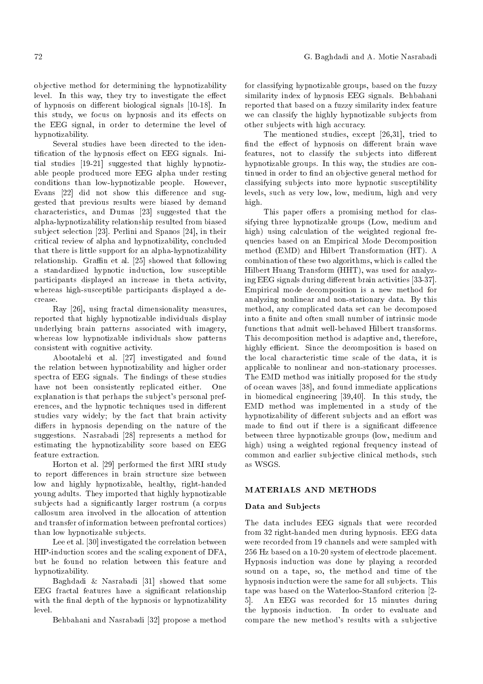objective method for determining the hypnotizability level. In this way, they try to investigate the effect of hypnosis on different biological signals [10-18]. In this study, we focus on hypnosis and its effects on the EEG signal, in order to determine the level of hypnotizability.

Several studies have been directed to the identification of the hypnosis effect on EEG signals. Initial studies [19-21] suggested that highly hypnotizable people produced more EEG alpha under resting conditions than low-hypnotizable people. However, Evans [22] did not show this difference and suggested that previous results were biased by demand characteristics, and Dumas [23] suggested that the alpha-hypnotizability relationship resulted from biased subject selection [23]. Perlini and Spanos [24], in their critical review of alpha and hypnotizability, concluded that there is little support for an alpha-hypnotizability relationship. Graffin et al.  $[25]$  showed that following a standardized hypnotic induction, low susceptible participants displayed an increase in theta activity, whereas high-susceptible participants displayed a decrease.

Ray [26], using fractal dimensionality measures, reported that highly hypnotizable individuals display underlying brain patterns associated with imagery, whereas low hypnotizable individuals show patterns consistent with cognitive activity.

Abootalebi et al. [27] investigated and found the relation between hypnotizability and higher order spectra of EEG signals. The findings of these studies have not been consistently replicated either. One explanation is that perhaps the subject's personal preferences, and the hypnotic techniques used in different studies vary widely; by the fact that brain activity differs in hypnosis depending on the nature of the suggestions. Nasrabadi [28] represents a method for estimating the hypnotizability score based on EEG feature extraction.

Horton et al. [29] performed the first MRI study to report differences in brain structure size between low and highly hypnotizable, healthy, right-handed young adults. They imported that highly hypnotizable subjects had a signicantly larger rostrum (a corpus callosum area involved in the allocation of attention and transfer of information between prefrontal cortices) than low hypnotizable subjects.

Lee et al. [30] investigated the correlation between HIP-induction scores and the scaling exponent of DFA, but he found no relation between this feature and hypnotizability.

Baghdadi & Nasrabadi [31] showed that some EEG fractal features have a signicant relationship with the final depth of the hypnosis or hypnotizability level.

Behbahani and Nasrabadi [32] propose a method

for classifying hypnotizable groups, based on the fuzzy similarity index of hypnosis EEG signals. Behbahani reported that based on a fuzzy similarity index feature we can classify the highly hypnotizable subjects from other subjects with high accuracy.

The mentioned studies, except [26,31], tried to find the effect of hypnosis on different brain wave features, not to classify the subjects into different hypnotizable groups. In this way, the studies are continued in order to find an objective general method for classifying subjects into more hypnotic susceptibility levels, such as very low, low, medium, high and very high.

This paper offers a promising method for classifying three hypnotizable groups (Low, medium and high) using calculation of the weighted regional frequencies based on an Empirical Mode Decomposition method (EMD) and Hilbert Transformation (HT). A combination of these two algorithms, which is called the Hilbert Huang Transform (HHT), was used for analyzing EEG signals during different brain activities [33-37]. Empirical mode decomposition is a new method for analyzing nonlinear and non-stationary data. By this method, any complicated data set can be decomposed into a finite and often small number of intrinsic mode functions that admit well-behaved Hilbert transforms. This decomposition method is adaptive and, therefore, highly efficient. Since the decomposition is based on the local characteristic time scale of the data, it is applicable to nonlinear and non-stationary processes. The EMD method was initially proposed for the study of ocean waves [38], and found immediate applications in biomedical engineering [39,40]. In this study, the EMD method was implemented in a study of the hypnotizability of different subjects and an effort was made to find out if there is a significant difference between three hypnotizable groups (low, medium and high) using a weighted regional frequency instead of common and earlier subjective clinical methods, such as WSGS.

#### MATERIALS AND METHODS

#### Data and Subjects

The data includes EEG signals that were recorded from 32 right-handed men during hypnosis. EEG data were recorded from 19 channels and were sampled with 256 Hz based on a 10-20 system of electrode placement. Hypnosis induction was done by playing a recorded sound on a tape, so, the method and time of the hypnosis induction were the same for all subjects. This tape was based on the Waterloo-Stanford criterion [2- 5]. An EEG was recorded for 15 minutes during the hypnosis induction. In order to evaluate and compare the new method's results with a subjective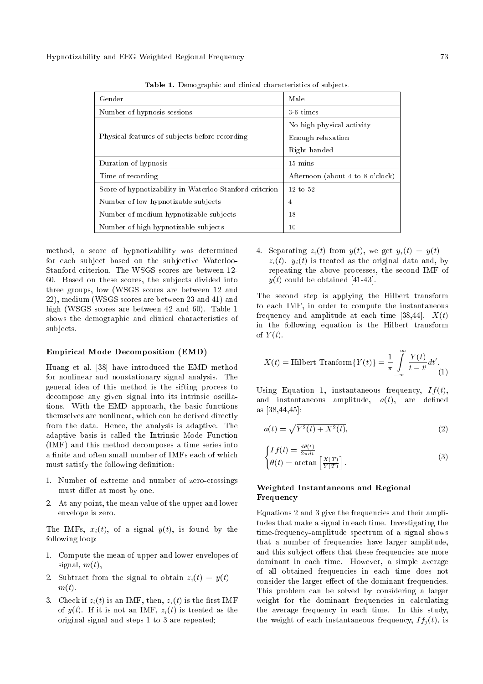| Gender                                                  | Male                             |  |
|---------------------------------------------------------|----------------------------------|--|
| Number of hypnosis sessions                             | 3-6 times                        |  |
|                                                         | No high physical activity        |  |
| Physical features of subjects before recording          | Enough relaxation                |  |
|                                                         | Right handed                     |  |
| Duration of hypnosis                                    | $15 \text{ mins}$                |  |
| Time of recording                                       | Afternoon (about 4 to 8 o'clock) |  |
| Score of hypnotizability in Waterloo-Stanford criterion | $12 \text{ to } 52$              |  |
| Number of low hypnotizable subjects                     | 4                                |  |
| Number of medium hypnotizable subjects                  | 18                               |  |
| Number of high hypnotizable subjects                    | 10                               |  |

Table 1. Demographic and clinical characteristics of subjects.

method, a score of hypnotizability was determined for each subject based on the subjective Waterloo-Stanford criterion. The WSGS scores are between 12- 60. Based on these scores, the subjects divided into three groups, low (WSGS scores are between 12 and 22), medium (WSGS scores are between 23 and 41) and high (WSGS scores are between 42 and 60). Table 1 shows the demographic and clinical characteristics of subjects.

#### Empirical Mode Decomposition (EMD)

Huang et al. [38] have introduced the EMD method for nonlinear and nonstationary signal analysis. The general idea of this method is the sifting process to decompose any given signal into its intrinsic oscillations. With the EMD approach, the basic functions themselves are nonlinear, which can be derived directly from the data. Hence, the analysis is adaptive. The adaptive basis is called the Intrinsic Mode Function (IMF) and this method decomposes a time series into a finite and often small number of IMFs each of which must satisfy the following definition:

- 1. Number of extreme and number of zero-crossings must differ at most by one.
- 2. At any point, the mean value of the upper and lower envelope is zero.

The IMFs,  $x_i(t)$ , of a signal  $y(t)$ , is found by the following loop:

- 1. Compute the mean of upper and lower envelopes of signal,  $m(t)$ ,
- 2. Subtract from the signal to obtain  $z_i(t) = y(t)$   $m(t)$ .
- 3. Check if  $z_i(t)$  is an IMF, then,  $z_i(t)$  is the first IMF of  $y(t)$ . If it is not an IMF,  $z_i(t)$  is treated as the original signal and steps 1 to 3 are repeated;

4. Separating  $z_i(t)$  from  $y(t)$ , we get  $y_i(t) = y(t)$  $z_i(t)$ .  $y_i(t)$  is treated as the original data and, by repeating the above processes, the second IMF of  $y(t)$  could be obtained [41-43].

The second step is applying the Hilbert transform to each IMF, in order to compute the instantaneous frequency and amplitude at each time [38,44].  $X(t)$ in the following equation is the Hilbert transform of  $Y(t)$ .

$$
X(t) = \text{Hilbert Transform}\{Y(t)\} = \frac{1}{\pi} \int_{-\infty}^{\infty} \frac{Y(t)}{t - t'} dt'.
$$
 (1)

Using Equation 1, instantaneous frequency,  $If(t)$ , and instantaneous amplitude,  $a(t)$ , are defined as [38,44,45]:

$$
a(t) = \sqrt{Y^2(t) + X^2(t)},
$$
\n(2)

$$
\begin{cases}\nIf(t) = \frac{d\theta(t)}{2\pi dt} \\
\theta(t) = \arctan\left[\frac{X(T)}{Y(T)}\right].\n\end{cases} \tag{3}
$$

## Weighted Instantaneous and Regional Frequency

Equations 2 and 3 give the frequencies and their amplitudes that make a signal in each time. Investigating the time-frequency-amplitude spectrum of a signal shows that a number of frequencies have larger amplitude, and this subject offers that these frequencies are more dominant in each time. However, a simple average of all obtained frequencies in each time does not consider the larger effect of the dominant frequencies. This problem can be solved by considering a larger weight for the dominant frequencies in calculating the average frequency in each time. In this study, the weight of each instantaneous frequency,  $If_i(t)$ , is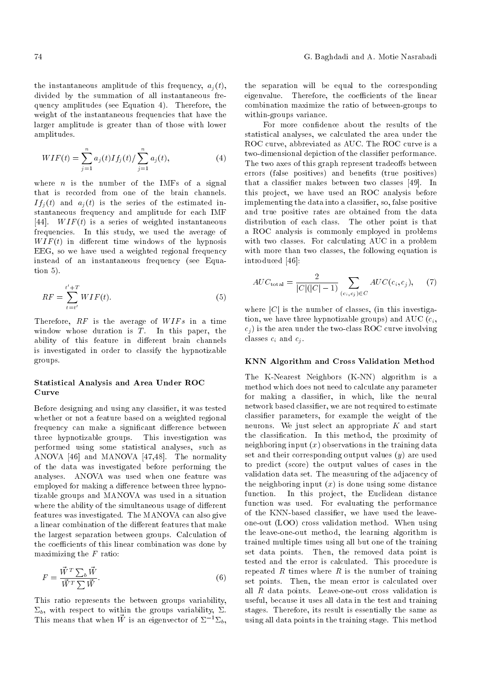the instantaneous amplitude of this frequency,  $a_i(t)$ , divided by the summation of all instantaneous frequency amplitudes (see Equation 4). Therefore, the weight of the instantaneous frequencies that have the larger amplitude is greater than of those with lower amplitudes.

$$
WIF(t) = \sum_{j=1}^{n} a_j(t) If_j(t) / \sum_{j=1}^{n} a_j(t), \qquad (4)
$$

where  $n$  is the number of the IMFs of a signal that is recorded from one of the brain channels.  $If_i(t)$  and  $a_i(t)$  is the series of the estimated instantaneous frequency and amplitude for each IMF [44].  $WIF(t)$  is a series of weighted instantaneous frequencies. In this study, we used the average of  $WIF(t)$  in different time windows of the hypnosis EEG, so we have used a weighted regional frequency instead of an instantaneous frequency (see Equation 5).

$$
RF = \sum_{t=t'}^{t'+T} WIF(t).
$$
\n(5)

Therefore,  $RF$  is the average of  $WIFs$  in a time window whose duration is  $T$ . In this paper, the ability of this feature in different brain channels is investigated in order to classify the hypnotizable groups.

## Statistical Analysis and Area Under ROC Curve

Before designing and using any classier, it was tested whether or not a feature based on a weighted regional frequency can make a significant difference between three hypnotizable groups. This investigation was performed using some statistical analyses, such as ANOVA [46] and MANOVA [47,48]. The normality of the data was investigated before performing the analyses. ANOVA was used when one feature was employed for making a difference between three hypnotizable groups and MANOVA was used in a situation where the ability of the simultaneous usage of different features was investigated. The MANOVA can also give a linear combination of the different features that make the largest separation between groups. Calculation of the coefficients of this linear combination was done by maximizing the  $F$  ratio:

$$
F = \frac{\vec{W}^T \sum_b \vec{W}}{\vec{W}^T \sum \vec{W}}.
$$
\n(6)

This ratio represents the between groups variability,  $\Sigma_b$ , with respect to within the groups variability,  $\Sigma$ . This means that when  $\vec{W}$  is an eigenvector of  $\Sigma^{-1}\Sigma_{b}$ , the separation will be equal to the corresponding eigenvalue. Therefore, the coefficients of the linear combination maximize the ratio of between-groups to within-groups variance.

For more confidence about the results of the statistical analyses, we calculated the area under the ROC curve, abbreviated as AUC. The ROC curve is a two-dimensional depiction of the classifier performance. The two axes of this graph represent tradeoffs between errors (false positives) and benefits (true positives) that a classifier makes between two classes [49]. In this project, we have used an ROC analysis before implementing the data into a classier, so, false positive and true positive rates are obtained from the data distribution of each class. The other point is that a ROC analysis is commonly employed in problems with two classes. For calculating AUC in a problem with more than two classes, the following equation is introduced [46]:

$$
AUC_{\text{total}} = \frac{2}{|C|(|C|-1)} \sum_{(c_i, c_j) \in C} AUC(c_i, c_j), \quad (7)
$$

where  $|C|$  is the number of classes, (in this investigation, we have three hypnotizable groups) and  $\mathrm{AUC}\left( c_{i},\right)$  $c_i$ ) is the area under the two-class ROC curve involving classes  $c_i$  and  $c_j$ .

## KNN Algorithm and Cross Validation Method

The K-Nearest Neighbors (K-NN) algorithm is a method which does not need to calculate any parameter for making a classifier, in which, like the neural network based classier, we are not required to estimate classier parameters, for example the weight of the neurons. We just select an appropriate  $K$  and start the classication. In this method, the proximity of neighboring input  $(x)$  observations in the training data set and their corresponding output values  $(y)$  are used to predict (score) the output values of cases in the validation data set. The measuring of the adjacency of the neighboring input  $(x)$  is done using some distance<br>function. In this project, the Euclidean distance In this project, the Euclidean distance function was used. For evaluating the performance of the KNN-based classifier, we have used the leaveone-out (LOO) cross validation method. When using the leave-one-out method, the learning algorithm is trained multiple times using all but one of the training set data points. Then, the removed data point is tested and the error is calculated. This procedure is repeated  $R$  times where  $R$  is the number of training set points. Then, the mean error is calculated over all  $R$  data points. Leave-one-out cross validation is useful, because it uses all data in the test and training stages. Therefore, its result is essentially the same as using all data points in the training stage. This method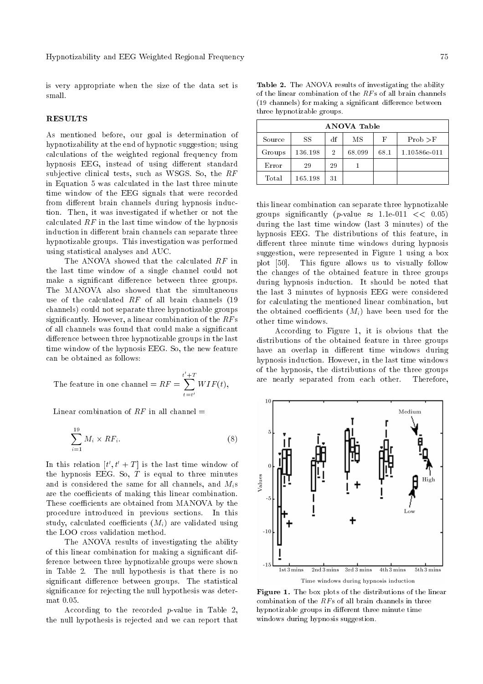is very appropriate when the size of the data set is small.

## **RESULTS**

As mentioned before, our goal is determination of hypnotizability at the end of hypnotic suggestion; using calculations of the weighted regional frequency from hypnosis EEG, instead of using different standard subjective clinical tests, such as WSGS. So, the RF in Equation 5 was calculated in the last three minute time window of the EEG signals that were recorded from different brain channels during hypnosis induction. Then, it was investigated if whether or not the calculated  $RF$  in the last time window of the hypnosis induction in different brain channels can separate three hypnotizable groups. This investigation was performed using statistical analyses and AUC.

The ANOVA showed that the calculated RF in the last time window of a single channel could not make a significant difference between three groups. The MANOVA also showed that the simultaneous use of the calculated  $RF$  of all brain channels (19 channels) could not separate three hypnotizable groups significantly. However, a linear combination of the  $RFs$ of all channels was found that could make a signicant difference between three hypnotizable groups in the last time window of the hypnosis EEG. So, the new feature can be obtained as follows:

The feature in one channel =  $RF = \sum_{i=1}^{t'+T}$  $t = t'$  $WIF(t)$ ,

Linear combination of  $RF$  in all channel  $=$ 

$$
\sum_{i=1}^{19} M_i \times RF_i. \tag{8}
$$

In this relation  $[t', t' + T]$  is the last time window of the hypnosis EEG. So,  $T$  is equal to three minutes and is considered the same for all channels, and  $M_i$ s are the coefficients of making this linear combination. These coefficients are obtained from MANOVA by the procedure introduced in previous sections. In this study, calculated coefficients  $(M_i)$  are validated using the LOO cross validation method.

The ANOVA results of investigating the ability of this linear combination for making a signicant difference between three hypnotizable groups were shown in Table 2. The null hypothesis is that there is no significant difference between groups. The statistical signicance for rejecting the null hypothesis was determat 0.05.

According to the recorded p-value in Table 2, the null hypothesis is rejected and we can report that

Table 2. The ANOVA results of investigating the ability of the linear combination of the  $RFs$  of all brain channels (19 channels) for making a significant difference between three hypnotizable groups.

| <b>ANOVA Table</b> |         |                |        |      |              |  |  |  |
|--------------------|---------|----------------|--------|------|--------------|--|--|--|
| Source             | SS      | df             | MS     | F    | Prob > F     |  |  |  |
| Groups             | 136.198 | $\overline{2}$ | 68.099 | 68.1 | 1.10586e-011 |  |  |  |
| Error              | 29      | 29             |        |      |              |  |  |  |
| Total              | 165.198 | 31             |        |      |              |  |  |  |

this linear combination can separate three hypnotizable groups significantly (*p*-value  $\approx$  1.1e-011 << 0.05) during the last time window (last 3 minutes) of the hypnosis EEG. The distributions of this feature, in different three minute time windows during hypnosis suggestion, were represented in Figure 1 using a box plot [50]. This figure allows us to visually follow the changes of the obtained feature in three groups during hypnosis induction. It should be noted that the last 3 minutes of hypnosis EEG were considered for calculating the mentioned linear combination, but the obtained coefficients  $(M_i)$  have been used for the other time windows.

According to Figure 1, it is obvious that the distributions of the obtained feature in three groups have an overlap in different time windows during hypnosis induction. However, in the last time windows of the hypnosis, the distributions of the three groups are nearly separated from each other. Therefore,



Figure 1. The box plots of the distributions of the linear combination of the  $RFs$  of all brain channels in three hypnotizable groups in different three minute time windows during hypnosis suggestion.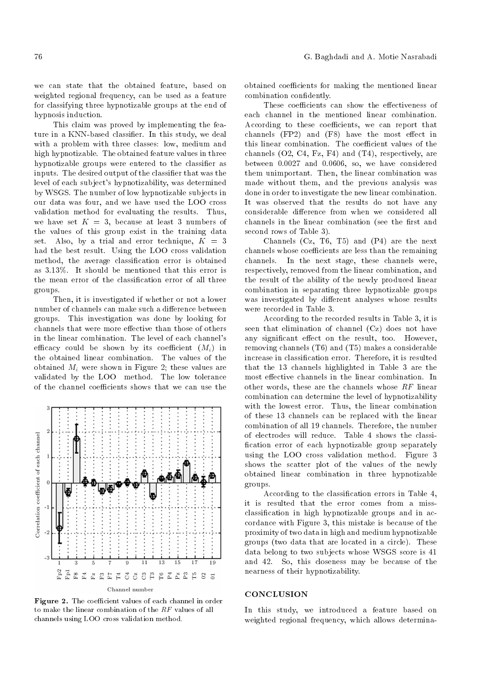we can state that the obtained feature, based on weighted regional frequency, can be used as a feature for classifying three hypnotizable groups at the end of hypnosis induction.

This claim was proved by implementing the feature in a KNN-based classier. In this study, we deal with a problem with three classes: low, medium and high hypnotizable. The obtained feature values in three hypnotizable groups were entered to the classifier as inputs. The desired output of the classifier that was the level of each subject's hypnotizability, was determined by WSGS. The number of low hypnotizable subjects in our data was four, and we have used the LOO cross validation method for evaluating the results. Thus, we have set  $K = 3$ , because at least 3 numbers of the values of this group exist in the training data set. Also, by a trial and error technique,  $K = 3$ had the best result. Using the LOO cross validation method, the average classication error is obtained as 3.13%. It should be mentioned that this error is the mean error of the classication error of all three groups.

Then, it is investigated if whether or not a lower number of channels can make such a difference between groups. This investigation was done by looking for channels that were more effective than those of others in the linear combination. The level of each channel's efficacy could be shown by its coefficient  $(M_i)$  in the obtained linear combination. The values of the obtained  $M_i$  were shown in Figure 2; these values are validated by the LOO method. The low tolerance of the channel coefficients shows that we can use the



Figure 2. The coefficient values of each channel in order to make the linear combination of the RF values of all channels using LOO cross validation method.

obtained coefficients for making the mentioned linear combination condently.

These coefficients can show the effectiveness of each channel in the mentioned linear combination. According to these coefficients, we can report that channels  $(FP2)$  and  $(F8)$  have the most effect in this linear combination. The coefficient values of the channels (O2, C4, Fz, F4) and (T4), respectively, are between 0.0027 and 0.0606, so, we have considered them unimportant. Then, the linear combination was made without them, and the previous analysis was done in order to investigate the new linear combination. It was observed that the results do not have any considerable difference from when we considered all channels in the linear combination (see the first and second rows of Table 3).

Channels (Cz, T6, T5) and (P4) are the next channels whose coefficients are less than the remaining channels. In the next stage, these channels were, respectively, removed from the linear combination, and the result of the ability of the newly produced linear combination in separating three hypnotizable groups was investigated by different analyses whose results were recorded in Table 3.

According to the recorded results in Table 3, it is seen that elimination of channel (Cz) does not have any significant effect on the result, too. However, removing channels (T6) and (T5) makes a considerable increase in classication error. Therefore, it is resulted that the 13 channels highlighted in Table 3 are the most effective channels in the linear combination. In other words, these are the channels whose RF linear combination can determine the level of hypnotizability with the lowest error. Thus, the linear combination of these 13 channels can be replaced with the linear combination of all 19 channels. Therefore, the number of electrodes will reduce. Table 4 shows the classi fication error of each hypnotizable group separately using the LOO cross validation method. Figure 3 shows the scatter plot of the values of the newly obtained linear combination in three hypnotizable groups.

According to the classification errors in Table 4, it is resulted that the error comes from a missclassication in high hypnotizable groups and in accordance with Figure 3, this mistake is because of the proximity of two data in high and medium hypnotizable groups (two data that are located in a circle). These data belong to two subjects whose WSGS score is 41 and 42. So, this closeness may be because of the nearness of their hypnotizability.

#### **CONCLUSION**

In this study, we introduced a feature based on weighted regional frequency, which allows determina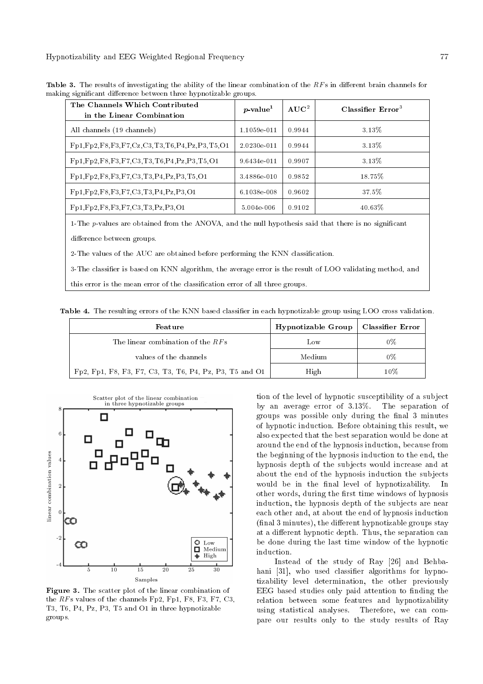Hypnotizability and EEG Weighted Regional Frequency 77

| The Channels Which Contributed<br>in the Linear Combination | $p$ -value <sup>1</sup> | $AUC^2$ | Classifier $Error3$ |
|-------------------------------------------------------------|-------------------------|---------|---------------------|
| All channels (19 channels)                                  | 1.1059e-011             | 0.9944  | 3.13\%              |
| $Fp1, Fp2, F8, F3, F7, Cz, C3, T3, T6, P4, Pz, P3, T5, O1$  | 2.0230e-011             | 0.9944  | 3.13\%              |
| Fp1, Fp2, F8, F3, F7, C3, T3, T6, P4, Pz, P3, T5, O1        | 9.6434e-011             | 0.9907  | 3.13\%              |
| Fp1, Fp2, F8, F3, F7, C3, T3, P4, Pz, P3, T5, O1            | 3.4886e-010             | 0.9852  | $18.75\%$           |
| Fp1, Fp2, F8, F3, F7, C3, T3, P4, Pz, P3, O1                | 6.1038e-008             | 0.9602  | 37.5%               |
| $Fp1, Fp2, F8, F3, F7, C3, T3, Pz, P3, O1$                  | 5.004e-006              | 0.9102  | $40.63\%$           |

Table 3. The results of investigating the ability of the linear combination of the  $RFs$  in different brain channels for making significant difference between three hypnotizable groups.

1-The p-values are obtained from the ANOVA, and the null hypothesis said that there is no significant difference between groups.

2-The values of the AUC are obtained before performing the KNN classication.

3-The classier is based on KNN algorithm, the average error is the result of LOO validating method, and

this error is the mean error of the classication error of all three groups.

Table 4. The resulting errors of the KNN based classifier in each hypnotizable group using LOO cross validation.

| Feature                                                 | Hypnotizable Group | Classifier Error |
|---------------------------------------------------------|--------------------|------------------|
| The linear combination of the $RFs$                     | Low                | 0%               |
| values of the channels                                  | Medium             | 0%               |
| Fp2, Fp1, F8, F3, F7, C3, T3, T6, P4, Pz, P3, T5 and O1 | High               | 10%              |



Figure 3. The scatter plot of the linear combination of the RFs values of the channels Fp2, Fp1, F8, F3, F7, C3, T3, T6, P4, Pz, P3, T5 and O1 in three hypnotizable groups.

tion of the level of hypnotic susceptibility of a subject by an average error of 3.13%. The separation of groups was possible only during the final 3 minutes of hypnotic induction. Before obtaining this result, we also expected that the best separation would be done at around the end of the hypnosis induction, because from the beginning of the hypnosis induction to the end, the hypnosis depth of the subjects would increase and at about the end of the hypnosis induction the subjects would be in the final level of hypnotizability. In other words, during the first time windows of hypnosis induction, the hypnosis depth of the subjects are near each other and, at about the end of hypnosis induction (final 3 minutes), the different hypnotizable groups stay at a different hypnotic depth. Thus, the separation can be done during the last time window of the hypnotic induction.

Instead of the study of Ray [26] and Behbahani [31], who used classifier algorithms for hypnotizability level determination, the other previously EEG based studies only paid attention to finding the relation between some features and hypnotizability using statistical analyses. Therefore, we can compare our results only to the study results of Ray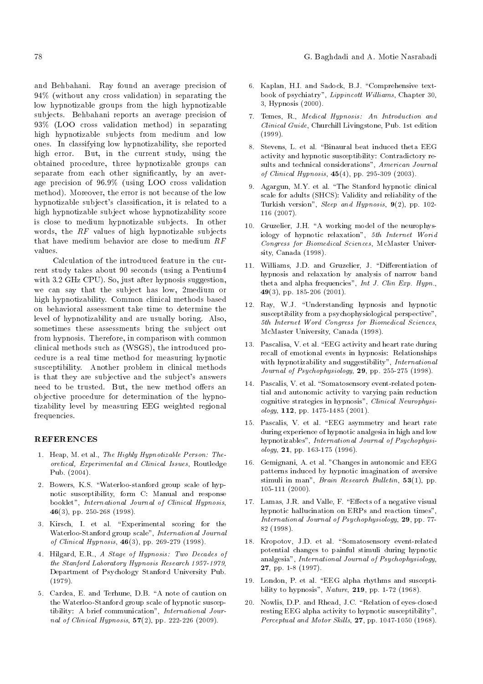and Behbahani. Ray found an average precision of 94% (without any cross validation) in separating the low hypnotizable groups from the high hypnotizable subjects. Behbahani reports an average precision of 93% (LOO cross validation method) in separating high hypnotizable subjects from medium and low ones. In classifying low hypnotizability, she reported high error. But, in the current study, using the obtained procedure, three hypnotizable groups can separate from each other significantly, by an average precision of 96.9% (using LOO cross validation method). Moreover, the error is not because of the low hypnotizable subject's classification, it is related to a high hypnotizable subject whose hypnotizability score is close to medium hypnotizable subjects. In other words, the RF values of high hypnotizable subjects that have medium behavior are close to medium RF values.

Calculation of the introduced feature in the current study takes about 90 seconds (using a Pentium4 with 3.2 GHz CPU). So, just after hypnosis suggestion, we can say that the subject has low, 2medium or high hypnotizability. Common clinical methods based on behavioral assessment take time to determine the level of hypnotizability and are usually boring. Also, sometimes these assessments bring the subject out from hypnosis. Therefore, in comparison with common clinical methods such as (WSGS), the introduced procedure is a real time method for measuring hypnotic susceptibility. Another problem in clinical methods is that they are subjective and the subject's answers need to be trusted. But, the new method offers an objective procedure for determination of the hypnotizability level by measuring EEG weighted regional frequencies.

#### REFERENCES

- 1. Heap, M. et al., The Highly Hypnotizable Person: Theoretical, Experimental and Clinical Issues, Routledge Pub. (2004).
- 2. Bowers, K.S. "Waterloo-stanford group scale of hypnotic susceptibility, form C: Manual and response booklet", International Journal of Clinical Hypnosis, 46(3), pp. 250-268 (1998).
- 3. Kirsch, I. et al. \Experimental scoring for the Waterloo-Stanford group scale", International Journal of Clinical Hypnosis,  $46(3)$ , pp. 269-279 (1998).
- 4. Hilgard, E.R., A Stage of Hypnosis: Two Decades of the Stanford Laboratory Hypnosis Research 1957-1979, Department of Psychology Stanford University Pub. (1979).
- 5. Cardea, E. and Terhune, D.B. "A note of caution on the Waterloo-Stanford group scale of hypnotic susceptibility: A brief communication", International Journal of Clinical Hypnosis,  $57(2)$ , pp. 222-226 (2009).
- 6. Kaplan, H.I. and Sadock, B.J. "Comprehensive textbook of psychiatry", Lippincott Williams, Chapter 30, 3, Hypnosis (2000).
- 7. Temes, R., Medical Hypnosis: An Introduction and Clinical Guide, Churchill Livingstone, Pub. 1st edition (1999).
- 8. Stevens, L. et al. "Binaural beat induced theta EEG activity and hypnotic susceptibility: Contradictory results and technical considerations", American Journal of Clinical Hypnosis, 45(4), pp. 295-309 (2003).
- 9. Agargun, M.Y. et al. \The Stanford hypnotic clinical scale for adults (SHCS): Validity and reliability of the Turkish version", Sleep and Hypnosis,  $9(2)$ , pp. 102-116 (2007).
- 10. Gruzelier, J.H. "A working model of the neurophysiology of hypnotic relaxation", 5th Internet Worid Congress for Biomedical Sciences, McMaster University, Canada (1998).
- 11. Williams, J.D. and Gruzelier, J. "Differentiation of hypnosis and relaxation by analysis of narrow band theta and alpha frequencies", Int J. Clin Exp. Hypn., 49(3), pp. 185-206 (2001).
- 12. Ray, W.J. "Understanding hypnosis and hypnotic susceptibility from a psychophysiological perspective", 5th Internet Word Congress for Biomedical Sciences, McMaster University, Canada (1998).
- 13. Pascalisa, V. et al. \EEG activity and heart rate during recall of emotional events in hypnosis: Relationships with hypnotizability and suggestibility", International Journal of Psychophysiology, 29, pp. 255-275 (1998).
- 14. Pascalis, V. et al. "Somatosensory event-related potential and autonomic activity to varying pain reduction cognitive strategies in hypnosis", Clinical Neurophysi $ology, 112, pp. 1475-1485 (2001).$
- 15. Pascalis, V. et al. \EEG asymmetry and heart rate during experience of hypnotic analgesia in high and low hypnotizables", International Journal of Psychophysi- $\log y$ , **21**, pp. 163-175 (1996).
- 16. Gemignani, A. et al. "Changes in autonomic and EEG patterns induced by hypnotic imagination of aversive stimuli in man", Brain Research Bulletin,  $53(1)$ , pp. 105-111 (2000).
- 17. Lamas, J.R. and Valle, F. "Effects of a negative visual hypnotic hallucination on ERPs and reaction times", International Journal of Psychophysiology, 29, pp. 77- 82 (1998).
- 18. Kropotov, J.D. et al. "Somatosensory event-related potential changes to painful stimuli during hypnotic analgesia", International Journal of Psychophysiology, 27, pp. 1-8 (1997).
- 19. London, P. et al. \EEG alpha rhythms and susceptibility to hypnosis", Nature, 219, pp. 1-72 (1968).
- 20. Nowlis, D.P. and Rhead, J.C. "Relation of eyes-closed resting EEG alpha activity to hypnotic susceptibility", Perceptual and Motor Skills, 27, pp. 1047-1050 (1968).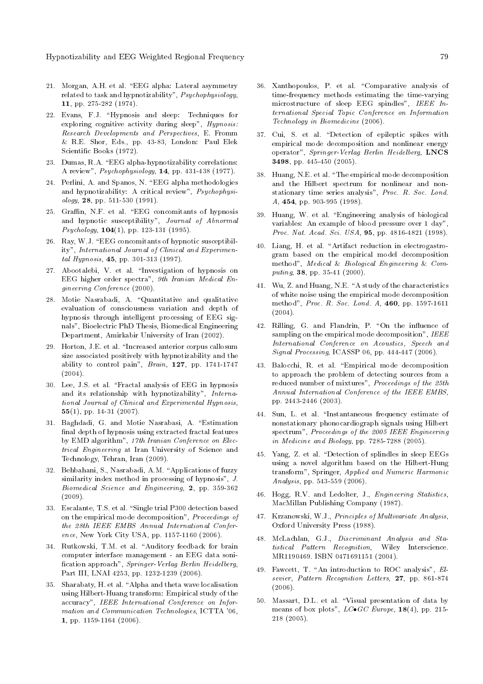- 21. Morgan, A.H. et al. \EEG alpha: Lateral asymmetry related to task and hypnotizability", Psychophysiology, 11, pp. 275-282 (1974).
- 22. Evans, F.J. "Hypnosis and sleep: Techniques for exploring cognitive activity during sleep", Hypnosis: Research Developments and Perspectives, E. Fromm & R.E. Shor, Eds., pp. 43-83, London: Paul Elek Scientic Books (1972).
- 23. Dumas, R.A. "EEG alpha-hypnotizability correlations: A review", Psychophysiology, 14, pp. 431-438 (1977).
- 24. Perlini, A. and Spanos, N. \EEG alpha methodologies and hypnotizability: A critical review", Psychophysiology, 28, pp. 511-530 (1991).
- 25. Graffin, N.F. et al. "EEG concomitants of hypnosis and hypnotic susceptibility", Journal of Abnormal  $Psychology, 104(1), pp. 123-131 (1995).$
- 26. Ray, W.J. "EEG concomitants of hypnotic susceptibility", International Journal of Clinical and Experimental Hypnosis, 45, pp. 301-313 (1997).
- 27. Abootalebi, V. et al. \Investigation of hypnosis on EEG higher order spectra", 9th Iranian Medical Engineering Conference (2000).
- 28. Motie Nasrabadi, A. "Quantitative and qualitative evaluation of consciousness variation and depth of hypnosis through intelligent processing of EEG signals", Bioelectric PhD Thesis, Biomedical Engineering Department, Amirkabir University of Iran (2002).
- 29. Horton, J.E. et al. \Increased anterior corpus callosum size associated positively with hypnotizability and the ability to control pain", Brain, 127, pp. 1741-1747  $(2004).$
- 30. Lee, J.S. et al. \Fractal analysis of EEG in hypnosis and its relationship with hypnotizability", International Journal of Clinical and Experimental Hypnosis, 55(1), pp. 14-31 (2007).
- 31. Baghdadi, G. and Motie Nasrabasi, A. \Estimation final depth of hypnosis using extracted fractal features by EMD algorithm", 17th Iranian Conference on Electrical Engineering at Iran University of Science and Technology, Tehran, Iran (2009).
- 32. Behbahani, S., Nasrabadi, A.M. \Applications of fuzzy similarity index method in processing of hypnosis", J. Biomedical Science and Engineering, 2, pp. 359-362 (2009).
- 33. Escalante, T.S. et al. "Single trial P300 detection based on the empirical mode decomposition", Proceedings of the 28th IEEE EMBS Annual International Conference, New York City USA, pp. 1157-1160 (2006).
- 34. Rutkowski, T.M. et al. "Auditory feedback for brain computer interface management - an EEG data soni fication approach", Springer-Verlag Berlin Heidelberg, Part III, LNAI 4253, pp. 1232-1239 (2006).
- 35. Sharabaty, H. et al. \Alpha and theta wave localisation using Hilbert-Huang transform: Empirical study of the accuracy", IEEE International Conference on Information and Communication Technologies, ICTTA '06, 1, pp. 1159-1164 (2006).
- 36. Xanthopoulos, P. et al. \Comparative analysis of time-frequency methods estimating the time-varying microstructure of sleep EEG spindles", IEEE International Special Topic Conference on Information Technology in Biomedicine (2006).
- 37. Cui, S. et al. "Detection of epileptic spikes with empirical mode decomposition and nonlinear energy operator", Springer-Verlag Berlin Heidelberg, LNCS 3498, pp. 445-450 (2005).
- 38. Huang, N.E. et al. \The empirical mode decomposition and the Hilbert spectrum for nonlinear and nonstationary time series analysis", Proc. R. Soc. Lond. A, 454, pp. 903-995 (1998).
- 39. Huang, W. et al. \Engineering analysis of biological variables: An example of blood pressure over 1 day", Proc. Nat. Acad. Sci. USA, 95, pp. 4816-4821 (1998).
- 40. Liang, H. et al. "Artifact reduction in electrogastrogram based on the empirical model decomposition method", Medical & Biological Engineering & Computing, 38, pp. 35-41 (2000).
- 41. Wu, Z. and Huang, N.E. \A study of the characteristics of white noise using the empirical mode decomposition method", Proc. R. Soc. Lond. A, 460, pp. 1597-1611  $(2004).$
- 42. Rilling, G. and Flandrin, P. "On the influence of sampling on the empirical mode decomposition", IEEE International Conference on Acoustics, Speech and Signal Processing, ICASSP 06, pp. 444-447 (2006).
- 43. Balocchi, R. et al. \Empirical mode decomposition to approach the problem of detecting sources from a reduced number of mixtures", Proceedings of the 25th Annual International Conference of the IEEE EMBS, pp. 2443-2446 (2003).
- 44. Sun, L. et al. \Instantaneous frequency estimate of nonstationary phonocardiograph signals using Hilbert spectrum", Proceedings of the 2005 IEEE Engineering in Medicine and Biology, pp. 7285-7288 (2005).
- 45. Yang, Z. et al. "Detection of splindles in sleep EEGs using a novel algorithm based on the Hilbert-Hung transform", Springer, Applied and Numeric Harmonic Analysis, pp. 543-559 (2006).
- 46. Hogg, R.V. and Ledolter, J., Engineering Statistics, MacMillan Publishing Company (1987).
- 47. Krzanowski, W.J., Principles of Multivariate Analysis, Oxford University Press (1988).
- 48. McLachlan, G.J., Discriminant Analysis and Statistical Pattern Recognition, Wiley Interscience. MR1190469. ISBN 0471691151 (2004).
- 49. Fawcett, T. "An introduction to ROC analysis", Elsevier, Pattern Recognition Letters, 27, pp. 861-874 (2006).
- 50. Massart, D.L. et al. \Visual presentation of data by means of box plots",  $L C \bullet GC$  Europe, 18(4), pp. 215-218 (2005).